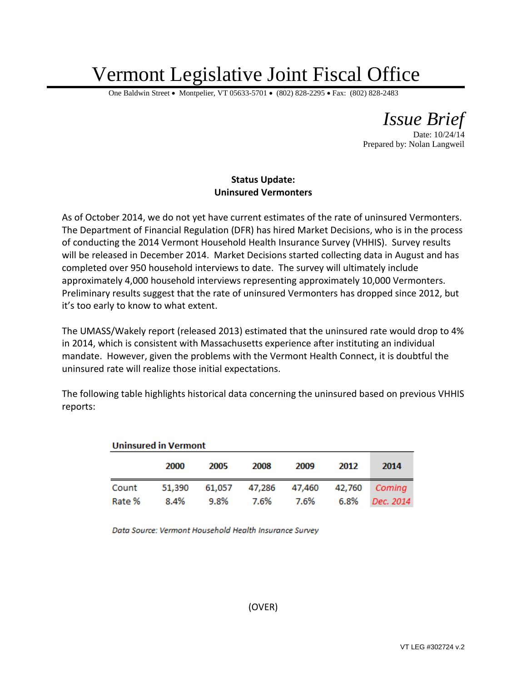## Vermont Legislative Joint Fiscal Office

One Baldwin Street • Montpelier, VT 05633-5701 • (802) 828-2295 • Fax: (802) 828-2483

*Issue Brief*

Date: 10/24/14 Prepared by: Nolan Langweil

## **Status Update: Uninsured Vermonters**

As of October 2014, we do not yet have current estimates of the rate of uninsured Vermonters. The Department of Financial Regulation (DFR) has hired Market Decisions, who is in the process of conducting the 2014 Vermont Household Health Insurance Survey (VHHIS). Survey results will be released in December 2014. Market Decisions started collecting data in August and has completed over 950 household interviews to date. The survey will ultimately include approximately 4,000 household interviews representing approximately 10,000 Vermonters. Preliminary results suggest that the rate of uninsured Vermonters has dropped since 2012, but it's too early to know to what extent.

The UMASS/Wakely report (released 2013) estimated that the uninsured rate would drop to 4% in 2014, which is consistent with Massachusetts experience after instituting an individual mandate. However, given the problems with the Vermont Health Connect, it is doubtful the uninsured rate will realize those initial expectations.

The following table highlights historical data concerning the uninsured based on previous VHHIS reports:

| <b>Uninsured in Vermont</b> |        |      |      |                                    |      |           |  |  |  |
|-----------------------------|--------|------|------|------------------------------------|------|-----------|--|--|--|
|                             | 2000   | 2005 | 2008 | 2009                               | 2012 | 2014      |  |  |  |
| Count                       | 51,390 |      |      | 61,057 47,286 47,460 42,760 Coming |      |           |  |  |  |
| Rate %                      | 8.4%   | 9.8% | 7.6% | 7.6%                               | 6.8% | Dec. 2014 |  |  |  |

Data Source: Vermont Household Health Insurance Survey